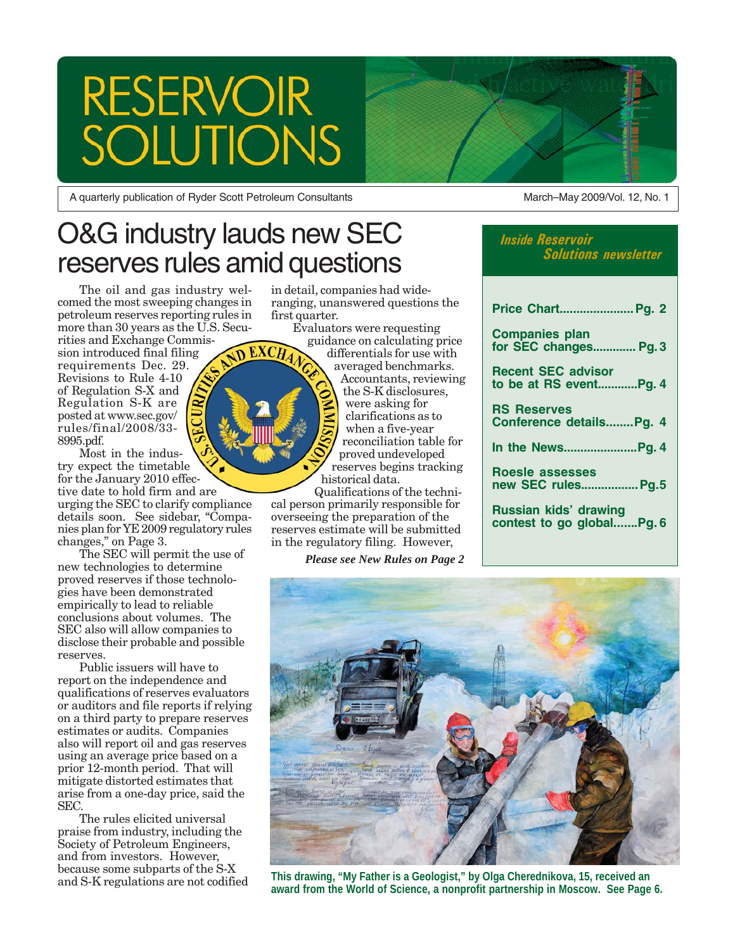# RESERVOIR<br>SOLUTIONS

A quarterly publication of Ryder Scott Petroleum Consultants March–May 2009/Vol. 12, No. 1

# O&G industry lauds new SEC reserves rules amid questions

**DEXCHA** 

The oil and gas industry welcomed the most sweeping changes in petroleum reserves reporting rules in more than 30 years as the U.S. Secu-

rities and Exchange Commission introduced final filing requirements Dec. 29. Revisions to Rule 4-10 of Regulation S-X and Regulation S-K are posted at www.sec.gov/ rules/final/2008/33- 8995.pdf.

Most in the industry expect the timetable for the January 2010 effective date to hold firm and are urging the SEC to clarify compliance details soon. See sidebar, "Companies plan for YE 2009 regulatory rules changes," on Page 3.

The SEC will permit the use of new technologies to determine proved reserves if those technologies have been demonstrated empirically to lead to reliable conclusions about volumes. The SEC also will allow companies to disclose their probable and possible reserves.

Public issuers will have to report on the independence and qualifications of reserves evaluators or auditors and file reports if relying on a third party to prepare reserves estimates or audits. Companies also will report oil and gas reserves using an average price based on a prior 12-month period. That will mitigate distorted estimates that arise from a one-day price, said the SEC.

The rules elicited universal praise from industry, including the Society of Petroleum Engineers, and from investors. However, because some subparts of the S-X and S-K regulations are not codified in detail, companies had wideranging, unanswered questions the first quarter.

Evaluators were requesting guidance on calculating price differentials for use with averaged benchmarks. Accountants, reviewing the S-K disclosures, were asking for clarifications as to when a five-year reconciliation table for proved undeveloped reserves begins tracking historical data. Qualifications of the techni-

cal person primarily responsible for overseeing the preparation of the reserves estimate will be submitted in the regulatory filing. However,

*Please see New Rules on Page 2*

 *Solutions newsletter*

*Inside Reservoir*

| Price Chart Pg. 2                                   |
|-----------------------------------------------------|
| <b>Companies plan</b><br>for SEC changes Pg. 3      |
| <b>Recent SEC advisor</b><br>to be at RS eventPg. 4 |
| <b>RS Reserves</b><br>Conference detailsPg. 4       |
| In the News Pg. 4                                   |
| Roesle assesses<br>new SEC rules Pg.5               |
| Russian kids' drawing<br>contest to go globalPg. 6  |



**This drawing, "My Father is a Geologist," by Olga Cherednikova, 15, received an award from the World of Science, a nonprofit partnership in Moscow. See Page 6.**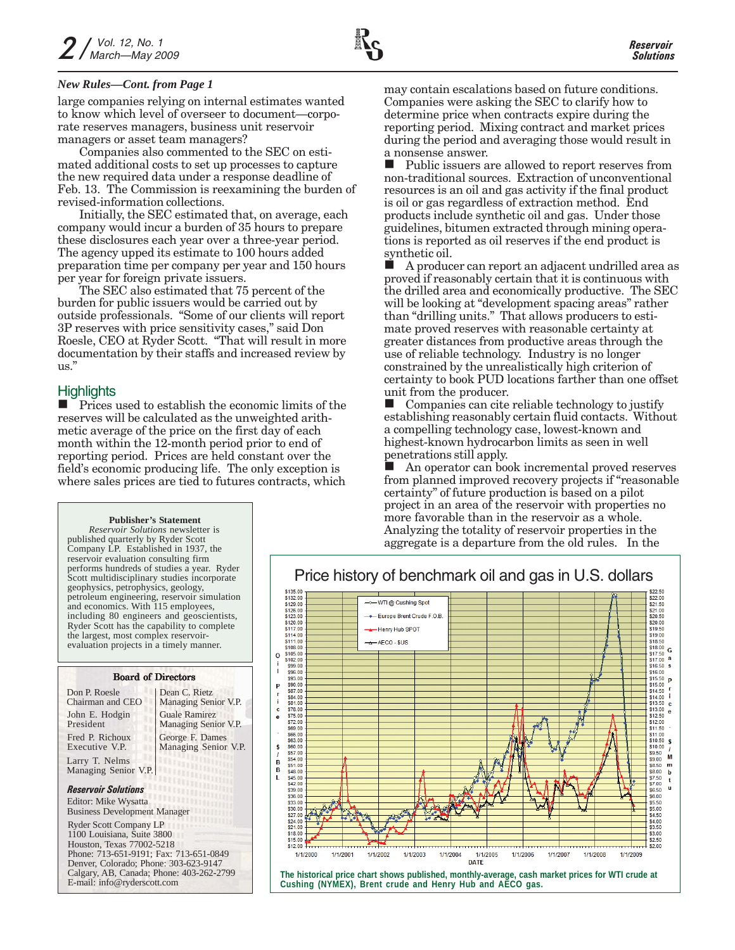### *New Rules—Cont. from Page 1*

large companies relying on internal estimates wanted to know which level of overseer to document—corporate reserves managers, business unit reservoir managers or asset team managers?

Companies also commented to the SEC on estimated additional costs to set up processes to capture the new required data under a response deadline of Feb. 13. The Commission is reexamining the burden of revised-information collections.

Initially, the SEC estimated that, on average, each company would incur a burden of 35 hours to prepare these disclosures each year over a three-year period. The agency upped its estimate to 100 hours added preparation time per company per year and 150 hours per year for foreign private issuers.

The SEC also estimated that 75 percent of the burden for public issuers would be carried out by outside professionals. "Some of our clients will report 3P reserves with price sensitivity cases," said Don Roesle, CEO at Ryder Scott. "That will result in more documentation by their staffs and increased review by us."

### **Highlights**

 Prices used to establish the economic limits of the reserves will be calculated as the unweighted arithmetic average of the price on the first day of each month within the 12-month period prior to end of reporting period. Prices are held constant over the field's economic producing life. The only exception is where sales prices are tied to futures contracts, which

may contain escalations based on future conditions. Companies were asking the SEC to clarify how to determine price when contracts expire during the reporting period. Mixing contract and market prices during the period and averaging those would result in a nonsense answer.

 Public issuers are allowed to report reserves from non-traditional sources. Extraction of unconventional resources is an oil and gas activity if the final product is oil or gas regardless of extraction method. End products include synthetic oil and gas. Under those guidelines, bitumen extracted through mining operations is reported as oil reserves if the end product is synthetic oil.

 A producer can report an adjacent undrilled area as proved if reasonably certain that it is continuous with the drilled area and economically productive. The SEC will be looking at "development spacing areas" rather than "drilling units." That allows producers to estimate proved reserves with reasonable certainty at greater distances from productive areas through the use of reliable technology. Industry is no longer constrained by the unrealistically high criterion of certainty to book PUD locations farther than one offset unit from the producer.

 $\Box$  Companies can cite reliable technology to justify establishing reasonably certain fluid contacts. Without a compelling technology case, lowest-known and highest-known hydrocarbon limits as seen in well penetrations still apply.

 An operator can book incremental proved reserves from planned improved recovery projects if "reasonable certainty" of future production is based on a pilot project in an area of the reservoir with properties no more favorable than in the reservoir as a whole. Analyzing the totality of reservoir properties in the aggregate is a departure from the old rules. In the

# performs hundreds of studies a year. Ryder Price history of benchmark oil and gas in U.S. dollars Scott multidisciplinary studies incorporate \$135.00

\$135.00<br>\$129.00<br>\$126.00<br>\$123.00<br>\$120.00<br>\$117.00<br>\$114.00<br>\$111.00 \$22.00 WTI @ Cushing Spot \$21.50 921.00<br>920.59 9385 93500<br>920.00 9319.50 9318.50 0<br>9310.50 9318.50 0<br>9317.50 9<br>9317.50 9<br>9315.50 P<br>9315.50 9<br>931.50 9<br>931.50 9<br>931.50 9<br>931.50 9<br>931.50 9<br>931.50 9<br>931.50 9<br>931.50 9<br>951.50 9<br>951.50 9<br>951.50 9<br>951.50 9<br>951.5 -+- Europe Brent Crude F.O.B Henry Hub SPOT  $-$ AFCO-SUS \$108.00 \$105.00<br>\$102.00  $\mathbf 0$  $\begin{array}{c} $99.00$ \\ $96.00$ \\ $93.00$ \\ $87.00$ \\ $87.00$ \\ $87.00$ \\ $87.00$ \\ $78.00$ \\ $77.00$ \\ $77.00$ \\ $77.00$ \\ $69.00$ \\ $66.00$ \\ $63.00$ \\ $86.00$ \\ $86.00$ \\ $86.00$ \\ $86.00$ \\ $86.00$ \\ $86.00$ \\ $86.00$ \\ $86.00$ \\ $86.00$ \\ $86.00$ \\ $86.00$ \\ $86.00$ \\ $86.0$ j  $\overline{P}$  $\frac{1}{4}$  $rac{c}{e}$  $\frac{1}{2}$ \$60.00 \$10.00 \$57.00 **\$9.50**<br>\$9.00 M \$54.00  $\frac{B}{B}$ \$51.00<br>\$48.00<br>\$45.00<br>\$42.00 \$8.50 m s8.00  $\mathbf b$  $\mathbf{L}$  $\begin{array}{r} 57.50 \\ 57.00 \\ 56.50 \\ 56.00 \\ 55.50 \\ 54.50 \\ 54.00 \\ 53.50 \\ 52.50 \\ 52.00 \end{array}$  $\mathbf{t}$  $\mathbf{u}$ \$39.00 \$36.00 \$33.00 \$30.00<br>\$27.00 \$24.00<br>\$21.00<br>\$18.00<br>\$15.00<br>\$12.00 1/1/2000 1/1/2001 1/1/2003 1/1/2004 1/1/2005 1/1/2006 1/1/2007 1/1/2002 1/1/2008 1/1/2009 DATE

**The historical price chart shows published, monthly-average, cash market prices for WTI crude at Cushing (NYMEX), Brent crude and Henry Hub and AECO gas.**



**Publisher's Statement** *Reservoir Solutions* newsletter is published quarterly by Ryder Scott Company LP. Established in 1937, the reservoir evaluation consulting firm

geophysics, petrophysics, geology, petroleum engineering, reservoir simulation and economics. With 115 employees, including 80 engineers and geoscientists,

Denver, Colorado; Phone: 303-623-9147 Calgary, AB, Canada; Phone: 403-262-2799

E-mail: info@ryderscott.com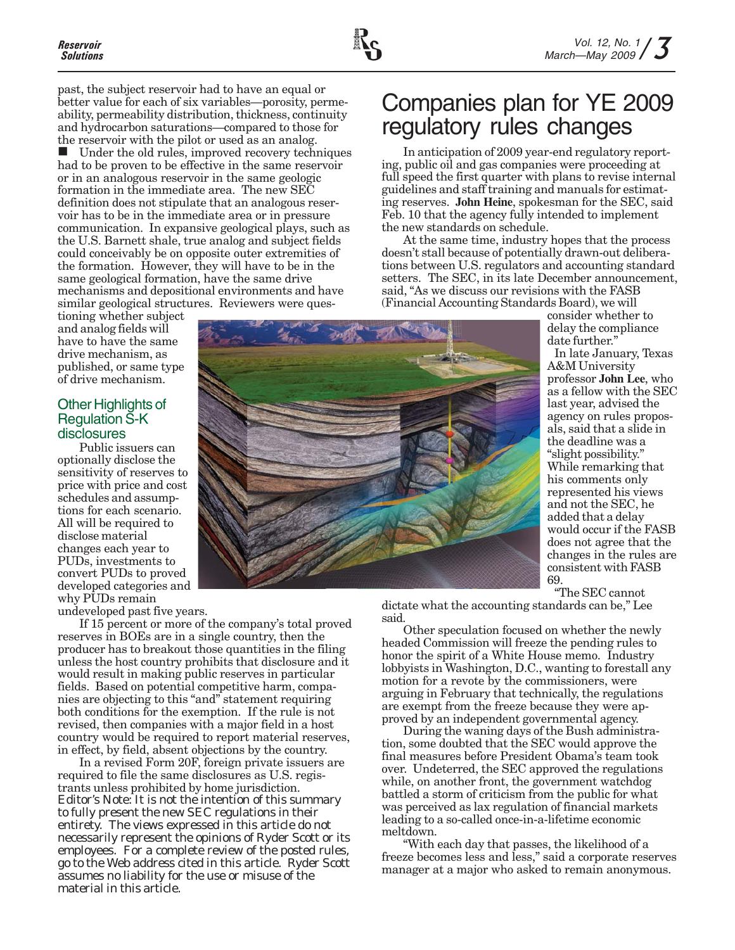the reservoir with the pilot or used as an analog.  $\blacksquare$  Under the old rules, improved recovery techniques had to be proven to be effective in the same reservoir or in an analogous reservoir in the same geologic formation in the immediate area. The new SEC definition does not stipulate that an analogous reservoir has to be in the immediate area or in pressure communication. In expansive geological plays, such as the U.S. Barnett shale, true analog and subject fields could conceivably be on opposite outer extremities of the formation. However, they will have to be in the same geological formation, have the same drive mechanisms and depositional environments and have similar geological structures. Reviewers were ques-

tioning whether subject and analog fields will have to have the same drive mechanism, as published, or same type of drive mechanism.

## Other Highlights of Regulation S-K disclosures

Public issuers can optionally disclose the sensitivity of reserves to price with price and cost schedules and assumptions for each scenario. All will be required to disclose material changes each year to PUDs, investments to convert PUDs to proved developed categories and why PUDs remain

undeveloped past five years.

If 15 percent or more of the company's total proved reserves in BOEs are in a single country, then the producer has to breakout those quantities in the filing unless the host country prohibits that disclosure and it would result in making public reserves in particular fields. Based on potential competitive harm, companies are objecting to this "and" statement requiring both conditions for the exemption. If the rule is not revised, then companies with a major field in a host country would be required to report material reserves, in effect, by field, absent objections by the country.

In a revised Form 20F, foreign private issuers are required to file the same disclosures as U.S. registrants unless prohibited by home jurisdiction. *Editor's Note: It is not the intention of this summary to fully present the new SEC regulations in their entirety. The views expressed in this article do not necessarily represent the opinions of Ryder Scott or its employees. For a complete review of the posted rules, go to the Web address cited in this article. Ryder Scott assumes no liability for the use or misuse of the material in this article.*

In anticipation of 2009 year-end regulatory reporting, public oil and gas companies were proceeding at full speed the first quarter with plans to revise internal guidelines and staff training and manuals for estimating reserves. **John Heine**, spokesman for the SEC, said Feb. 10 that the agency fully intended to implement the new standards on schedule.

At the same time, industry hopes that the process doesn't stall because of potentially drawn-out deliberations between U.S. regulators and accounting standard setters. The SEC, in its late December announcement, said, "As we discuss our revisions with the FASB (Financial Accounting Standards Board), we will

consider whether to delay the compliance date further." In late January, Texas A&M University professor **John Lee**, who as a fellow with the SEC last year, advised the agency on rules proposals, said that a slide in the deadline was a "slight possibility." While remarking that his comments only represented his views and not the SEC, he

added that a delay would occur if the FASB does not agree that the changes in the rules are consistent with FASB 69.

"The SEC cannot

dictate what the accounting standards can be," Lee said.

Other speculation focused on whether the newly headed Commission will freeze the pending rules to honor the spirit of a White House memo. Industry lobbyists in Washington, D.C., wanting to forestall any motion for a revote by the commissioners, were arguing in February that technically, the regulations are exempt from the freeze because they were approved by an independent governmental agency.

During the waning days of the Bush administration, some doubted that the SEC would approve the final measures before President Obama's team took over. Undeterred, the SEC approved the regulations while, on another front, the government watchdog battled a storm of criticism from the public for what was perceived as lax regulation of financial markets leading to a so-called once-in-a-lifetime economic meltdown.

"With each day that passes, the likelihood of a freeze becomes less and less," said a corporate reserves manager at a major who asked to remain anonymous.



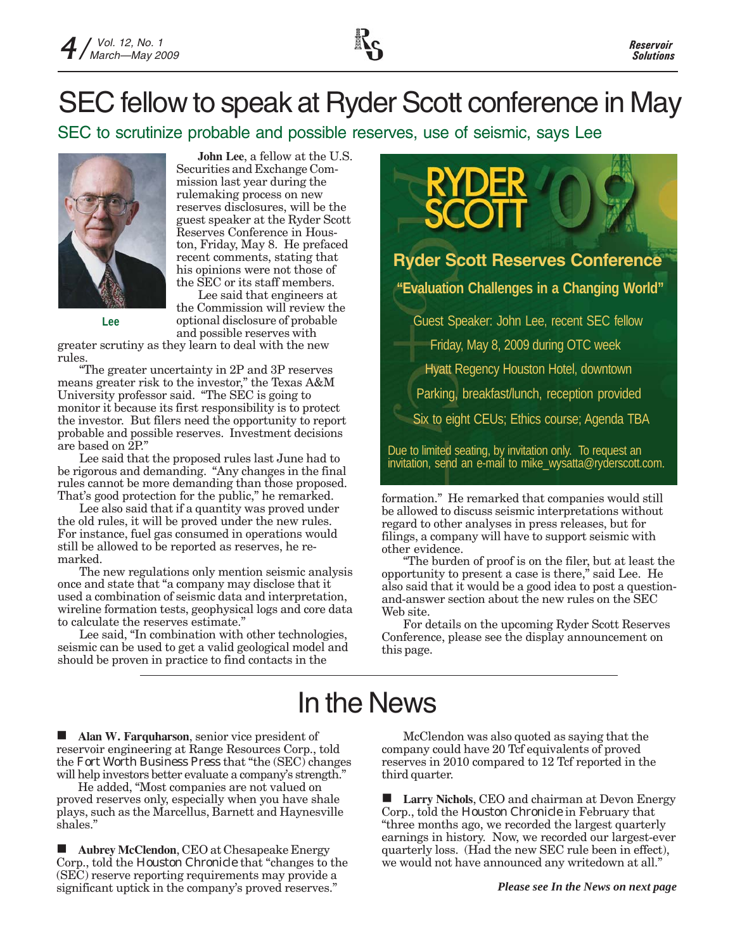

# SEC fellow to speak at Ryder Scott conference in May

SEC to scrutinize probable and possible reserves, use of seismic, says Lee



**John Lee**, a fellow at the U.S. Securities and Exchange Commission last year during the rulemaking process on new reserves disclosures, will be the guest speaker at the Ryder Scott Reserves Conference in Houston, Friday, May 8. He prefaced recent comments, stating that his opinions were not those of the SEC or its staff members. Lee said that engineers at

the Commission will review the

optional disclosure of probable and possible reserves with **Lee**

greater scrutiny as they learn to deal with the new rules

"The greater uncertainty in 2P and 3P reserves means greater risk to the investor," the Texas A&M University professor said. "The SEC is going to monitor it because its first responsibility is to protect the investor. But filers need the opportunity to report probable and possible reserves. Investment decisions are based on 2P."

Lee said that the proposed rules last June had to be rigorous and demanding. "Any changes in the final rules cannot be more demanding than those proposed. That's good protection for the public," he remarked.

Lee also said that if a quantity was proved under the old rules, it will be proved under the new rules. For instance, fuel gas consumed in operations would still be allowed to be reported as reserves, he remarked.

The new regulations only mention seismic analysis once and state that "a company may disclose that it used a combination of seismic data and interpretation, wireline formation tests, geophysical logs and core data to calculate the reserves estimate."

Lee said, "In combination with other technologies, seismic can be used to get a valid geological model and should be proven in practice to find contacts in the

Due to limited seating, by invitation only. To request an invitation, send an e-mail to mike\_wysatta@ryderscott.com. **"Evaluation Challenges in a Changing World" Ryder Scott Reserves Conference** Friday, May 8, 2009 during OTC week Parking, breakfast/lunch, reception provided Six to eight CEUs; Ethics course; Agenda TBA Hyatt Regency Houston Hotel, downtown Guest Speaker: John Lee, recent SEC fellow

formation." He remarked that companies would still be allowed to discuss seismic interpretations without regard to other analyses in press releases, but for filings, a company will have to support seismic with other evidence.

"The burden of proof is on the filer, but at least the opportunity to present a case is there," said Lee. He also said that it would be a good idea to post a questionand-answer section about the new rules on the SEC Web site.

For details on the upcoming Ryder Scott Reserves Conference, please see the display announcement on this page.

# In the News

■ **Alan W. Farquharson**, senior vice president of reservoir engineering at Range Resources Corp., told the *Fort Worth Business Press* that "the (SEC) changes will help investors better evaluate a company's strength."

He added, "Most companies are not valued on proved reserves only, especially when you have shale plays, such as the Marcellus, Barnett and Haynesville shales."

■ **Aubrey McClendon**, CEO at Chesapeake Energy Corp., told the *Houston Chronicle* that "changes to the (SEC) reserve reporting requirements may provide a significant uptick in the company's proved reserves."

McClendon was also quoted as saying that the company could have 20 Tcf equivalents of proved reserves in 2010 compared to 12 Tcf reported in the third quarter.

**Larry Nichols**, CEO and chairman at Devon Energy Corp., told the *Houston Chronicle* in February that "three months ago, we recorded the largest quarterly earnings in history. Now, we recorded our largest-ever quarterly loss. (Had the new SEC rule been in effect), we would not have announced any writedown at all."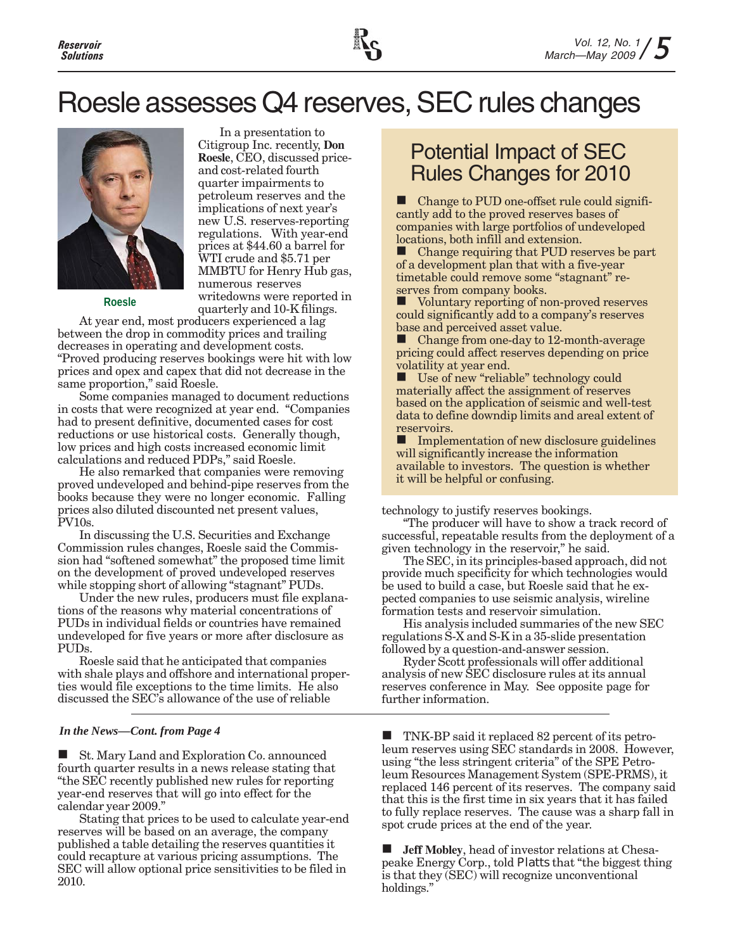# Roesle assesses Q4 reserves, SEC rules changes



**Roesle**

In a presentation to Citigroup Inc. recently, **Don Roesle**, CEO, discussed priceand cost-related fourth quarter impairments to petroleum reserves and the implications of next year's new U.S. reserves-reporting regulations. With year-end prices at \$44.60 a barrel for WTI crude and \$5.71 per MMBTU for Henry Hub gas, numerous reserves writedowns were reported in quarterly and 10-K filings.

At year end, most producers experienced a lag between the drop in commodity prices and trailing decreases in operating and development costs. "Proved producing reserves bookings were hit with low prices and opex and capex that did not decrease in the same proportion," said Roesle.

Some companies managed to document reductions in costs that were recognized at year end. "Companies had to present definitive, documented cases for cost reductions or use historical costs. Generally though, low prices and high costs increased economic limit calculations and reduced PDPs," said Roesle.

He also remarked that companies were removing proved undeveloped and behind-pipe reserves from the books because they were no longer economic. Falling prices also diluted discounted net present values, PV10s.

In discussing the U.S. Securities and Exchange Commission rules changes, Roesle said the Commission had "softened somewhat" the proposed time limit on the development of proved undeveloped reserves while stopping short of allowing "stagnant" PUDs.

Under the new rules, producers must file explanations of the reasons why material concentrations of PUDs in individual fields or countries have remained undeveloped for five years or more after disclosure as PUDs.

Roesle said that he anticipated that companies with shale plays and offshore and international properties would file exceptions to the time limits. He also discussed the SEC's allowance of the use of reliable

 St. Mary Land and Exploration Co. announced fourth quarter results in a news release stating that "the SEC recently published new rules for reporting year-end reserves that will go into effect for the calendar year 2009."

Stating that prices to be used to calculate year-end reserves will be based on an average, the company published a table detailing the reserves quantities it could recapture at various pricing assumptions. The SEC will allow optional price sensitivities to be filed in 2010.

## Potential Impact of SEC Rules Changes for 2010

 Change to PUD one-offset rule could significantly add to the proved reserves bases of companies with large portfolios of undeveloped locations, both infill and extension.

■ Change requiring that PUD reserves be part of a development plan that with a five-year timetable could remove some "stagnant" reserves from company books.

 Voluntary reporting of non-proved reserves could significantly add to a company's reserves base and perceived asset value.

■ Change from one-day to 12-month-average pricing could affect reserves depending on price volatility at year end.

 Use of new "reliable" technology could materially affect the assignment of reserves based on the application of seismic and well-test data to define downdip limits and areal extent of reservoirs.

 Implementation of new disclosure guidelines will significantly increase the information available to investors. The question is whether it will be helpful or confusing.

technology to justify reserves bookings.

"The producer will have to show a track record of successful, repeatable results from the deployment of a given technology in the reservoir," he said.

The SEC, in its principles-based approach, did not provide much specificity for which technologies would be used to build a case, but Roesle said that he expected companies to use seismic analysis, wireline formation tests and reservoir simulation.

His analysis included summaries of the new SEC regulations S-X and S-K in a 35-slide presentation followed by a question-and-answer session.

Ryder Scott professionals will offer additional analysis of new SEC disclosure rules at its annual reserves conference in May. See opposite page for further information.

*In the News—Cont. from Page 4* TNK-BP said it replaced 82 percent of its petroleum reserves using SEC standards in 2008. However, using "the less stringent criteria" of the SPE Petroleum Resources Management System (SPE-PRMS), it replaced 146 percent of its reserves. The company said that this is the first time in six years that it has failed to fully replace reserves. The cause was a sharp fall in spot crude prices at the end of the year.

> **Jeff Mobley**, head of investor relations at Chesapeake Energy Corp., told *Platts* that "the biggest thing is that they (SEC) will recognize unconventional holdings."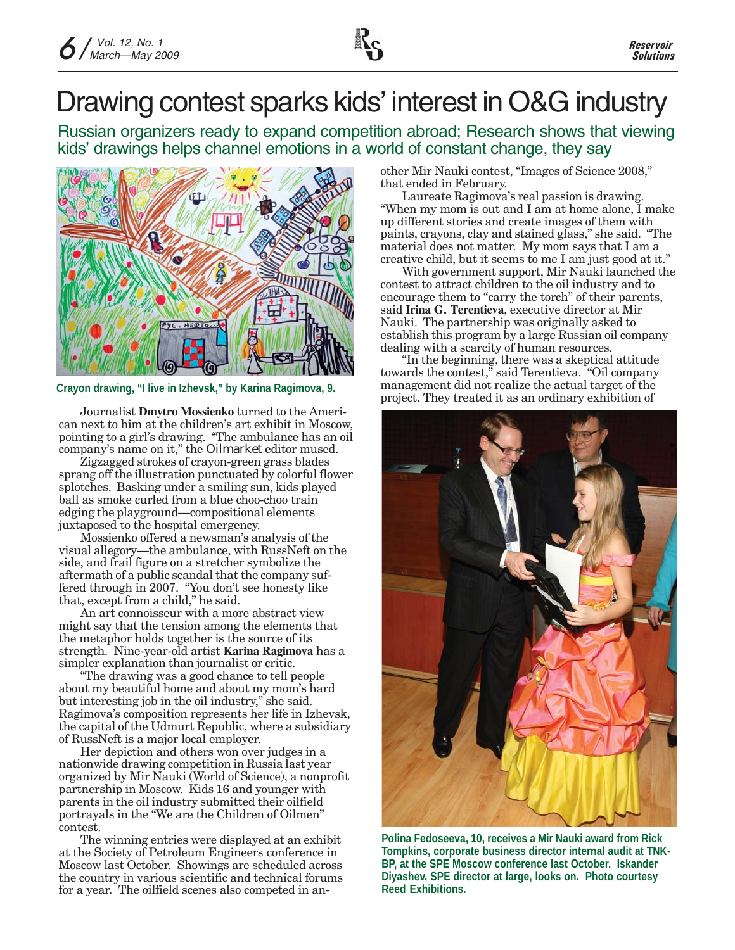# Drawing contest sparks kids' interest in O&G industry

Russian organizers ready to expand competition abroad; Research shows that viewing kids' drawings helps channel emotions in a world of constant change, they say



**Crayon drawing, "I live in Izhevsk," by Karina Ragimova, 9.**

Journalist **Dmytro Mossienko** turned to the American next to him at the children's art exhibit in Moscow, pointing to a girl's drawing. "The ambulance has an oil company's name on it," the *Oilmarket* editor mused.

Zigzagged strokes of crayon-green grass blades sprang off the illustration punctuated by colorful flower splotches. Basking under a smiling sun, kids played ball as smoke curled from a blue choo-choo train edging the playground—compositional elements juxtaposed to the hospital emergency.

Mossienko offered a newsman's analysis of the visual allegory—the ambulance, with RussNeft on the side, and frail figure on a stretcher symbolize the aftermath of a public scandal that the company suffered through in 2007. "You don't see honesty like that, except from a child," he said.

An art connoisseur with a more abstract view might say that the tension among the elements that the metaphor holds together is the source of its strength. Nine-year-old artist **Karina Ragimova** has a simpler explanation than journalist or critic.

"The drawing was a good chance to tell people about my beautiful home and about my mom's hard but interesting job in the oil industry," she said. Ragimova's composition represents her life in Izhevsk, the capital of the Udmurt Republic, where a subsidiary of RussNeft is a major local employer.

Her depiction and others won over judges in a nationwide drawing competition in Russia last year organized by Mir Nauki (World of Science), a nonprofit partnership in Moscow. Kids 16 and younger with parents in the oil industry submitted their oilfield portrayals in the "We are the Children of Oilmen" contest.

The winning entries were displayed at an exhibit at the Society of Petroleum Engineers conference in Moscow last October. Showings are scheduled across the country in various scientific and technical forums for a year. The oilfield scenes also competed in another Mir Nauki contest, "Images of Science 2008," that ended in February.

Laureate Ragimova's real passion is drawing. "When my mom is out and I am at home alone, I make up different stories and create images of them with paints, crayons, clay and stained glass," she said. "The material does not matter. My mom says that I am a creative child, but it seems to me I am just good at it."

With government support, Mir Nauki launched the contest to attract children to the oil industry and to encourage them to "carry the torch" of their parents, said **Irina G. Terentieva**, executive director at Mir Nauki. The partnership was originally asked to establish this program by a large Russian oil company dealing with a scarcity of human resources.

"In the beginning, there was a skeptical attitude towards the contest," said Terentieva. "Oil company management did not realize the actual target of the project. They treated it as an ordinary exhibition of



**Polina Fedoseeva, 10, receives a Mir Nauki award from Rick Tompkins, corporate business director internal audit at TNK-BP, at the SPE Moscow conference last October. Iskander Diyashev, SPE director at large, looks on. Photo courtesy Reed Exhibitions.**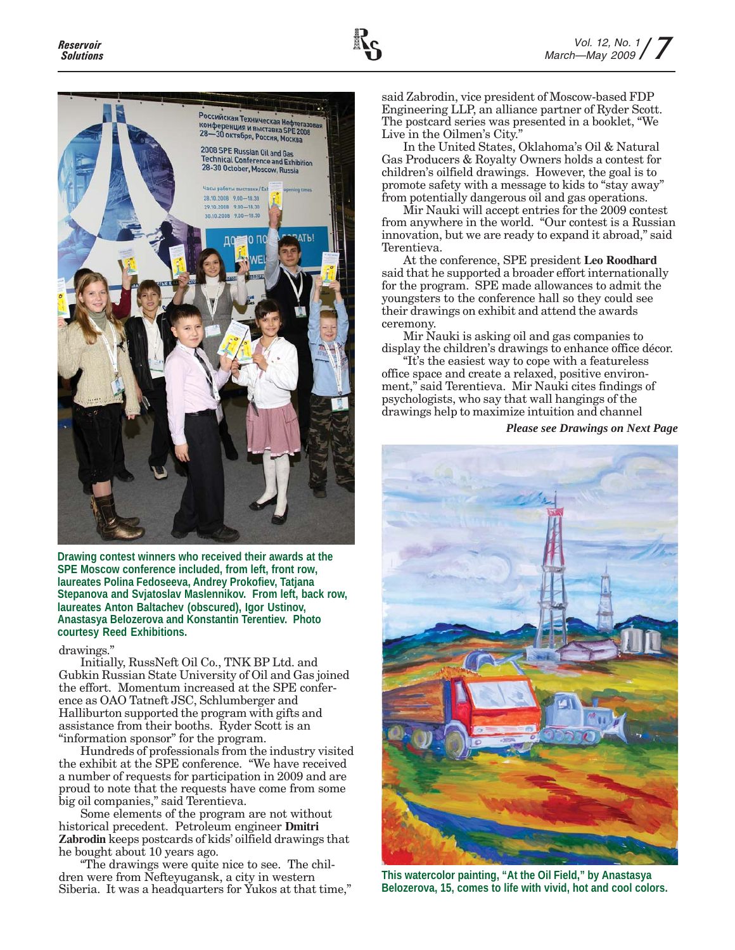



**Drawing contest winners who received their awards at the SPE Moscow conference included, from left, front row, laureates Polina Fedoseeva, Andrey Prokofiev, Tatjana Stepanova and Svjatoslav Maslennikov. From left, back row, laureates Anton Baltachev (obscured), Igor Ustinov, Anastasya Belozerova and Konstantin Terentiev. Photo courtesy Reed Exhibitions.**

#### drawings."

Initially, RussNeft Oil Co., TNK BP Ltd. and Gubkin Russian State University of Oil and Gas joined the effort. Momentum increased at the SPE conference as OAO Tatneft JSC, Schlumberger and Halliburton supported the program with gifts and assistance from their booths. Ryder Scott is an "information sponsor" for the program.

Hundreds of professionals from the industry visited the exhibit at the SPE conference. "We have received a number of requests for participation in 2009 and are proud to note that the requests have come from some big oil companies," said Terentieva.

Some elements of the program are not without historical precedent. Petroleum engineer **Dmitri Zabrodin** keeps postcards of kids' oilfield drawings that he bought about 10 years ago.

"The drawings were quite nice to see. The children were from Nefteyugansk, a city in western Siberia. It was a headquarters for Yukos at that time," said Zabrodin, vice president of Moscow-based FDP Engineering LLP, an alliance partner of Ryder Scott. The postcard series was presented in a booklet, "We Live in the Oilmen's City."

In the United States, Oklahoma's Oil & Natural Gas Producers & Royalty Owners holds a contest for children's oilfield drawings. However, the goal is to promote safety with a message to kids to "stay away" from potentially dangerous oil and gas operations.

Mir Nauki will accept entries for the 2009 contest from anywhere in the world. "Our contest is a Russian innovation, but we are ready to expand it abroad," said Terentieva.

At the conference, SPE president **Leo Roodhard** said that he supported a broader effort internationally for the program. SPE made allowances to admit the youngsters to the conference hall so they could see their drawings on exhibit and attend the awards ceremony.

Mir Nauki is asking oil and gas companies to display the children's drawings to enhance office décor.

"It's the easiest way to cope with a featureless office space and create a relaxed, positive environment," said Terentieva. Mir Nauki cites findings of psychologists, who say that wall hangings of the drawings help to maximize intuition and channel

#### *Please see Drawings on Next Page*



**This watercolor painting, "At the Oil Field," by Anastasya Belozerova, 15, comes to life with vivid, hot and cool colors.**